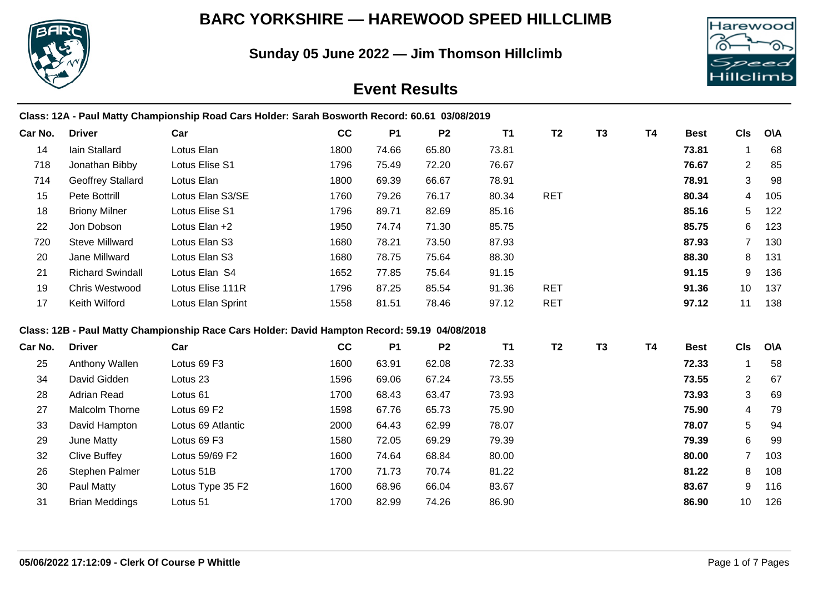## **BARC YORKSHIRE — HAREWOOD SPEED HILLCLIMB**

**Sunday 05 June 2022 — Jim Thomson Hillclimb**



# **Event Results**

| <b>Driver</b>            | Car                 | cc   | <b>P1</b> | P <sub>2</sub> | <b>T1</b> | <b>T2</b>                                                                                                                                                                                       | <b>T3</b> | <b>T4</b> | <b>Best</b> | <b>CIs</b>     | <b>O\A</b> |
|--------------------------|---------------------|------|-----------|----------------|-----------|-------------------------------------------------------------------------------------------------------------------------------------------------------------------------------------------------|-----------|-----------|-------------|----------------|------------|
| lain Stallard            | Lotus Elan          | 1800 | 74.66     | 65.80          | 73.81     |                                                                                                                                                                                                 |           |           | 73.81       | -1             | 68         |
| Jonathan Bibby           | Lotus Elise S1      | 1796 | 75.49     | 72.20          | 76.67     |                                                                                                                                                                                                 |           |           | 76.67       | $\overline{2}$ | 85         |
| <b>Geoffrey Stallard</b> | Lotus Elan          | 1800 | 69.39     | 66.67          | 78.91     |                                                                                                                                                                                                 |           |           | 78.91       | 3              | 98         |
| Pete Bottrill            | Lotus Elan S3/SE    | 1760 | 79.26     | 76.17          | 80.34     | <b>RET</b>                                                                                                                                                                                      |           |           | 80.34       | $\overline{4}$ | 105        |
| <b>Briony Milner</b>     | Lotus Elise S1      | 1796 | 89.71     | 82.69          | 85.16     |                                                                                                                                                                                                 |           |           | 85.16       | 5              | 122        |
| Jon Dobson               | Lotus Elan +2       | 1950 | 74.74     | 71.30          | 85.75     |                                                                                                                                                                                                 |           |           | 85.75       | 6              | 123        |
| <b>Steve Millward</b>    | Lotus Elan S3       | 1680 | 78.21     | 73.50          | 87.93     |                                                                                                                                                                                                 |           |           | 87.93       | $\overline{7}$ | 130        |
| Jane Millward            | Lotus Elan S3       | 1680 | 78.75     | 75.64          | 88.30     |                                                                                                                                                                                                 |           |           | 88.30       | 8              | 131        |
| <b>Richard Swindall</b>  | Lotus Elan S4       | 1652 | 77.85     | 75.64          | 91.15     |                                                                                                                                                                                                 |           |           | 91.15       | 9              | 136        |
| Chris Westwood           | Lotus Elise 111R    | 1796 | 87.25     | 85.54          | 91.36     | <b>RET</b>                                                                                                                                                                                      |           |           | 91.36       | 10             | 137        |
| Keith Wilford            | Lotus Elan Sprint   | 1558 | 81.51     | 78.46          | 97.12     | <b>RET</b>                                                                                                                                                                                      |           |           | 97.12       | 11             | 138        |
|                          |                     |      |           |                |           |                                                                                                                                                                                                 |           |           |             |                |            |
| <b>Driver</b>            | Car                 | cc   | <b>P1</b> | P <sub>2</sub> | <b>T1</b> | <b>T2</b>                                                                                                                                                                                       | <b>T3</b> | <b>T4</b> | <b>Best</b> | <b>CIs</b>     | <b>O\A</b> |
| Anthony Wallen           | Lotus 69 F3         | 1600 | 63.91     | 62.08          | 72.33     |                                                                                                                                                                                                 |           |           | 72.33       |                | 58         |
| David Gidden             | Lotus <sub>23</sub> | 1596 | 69.06     | 67.24          | 73.55     |                                                                                                                                                                                                 |           |           | 73.55       | $\overline{2}$ | 67         |
| <b>Adrian Read</b>       | Lotus <sub>61</sub> | 1700 | 68.43     | 63.47          | 73.93     |                                                                                                                                                                                                 |           |           | 73.93       | 3              | 69         |
| Malcolm Thorne           | Lotus 69 F2         | 1598 | 67.76     | 65.73          | 75.90     |                                                                                                                                                                                                 |           |           | 75.90       | 4              | 79         |
| David Hampton            | Lotus 69 Atlantic   | 2000 | 64.43     | 62.99          | 78.07     |                                                                                                                                                                                                 |           |           | 78.07       | 5              | 94         |
| June Matty               | Lotus 69 F3         | 1580 | 72.05     | 69.29          | 79.39     |                                                                                                                                                                                                 |           |           | 79.39       | 6              | 99         |
| <b>Clive Buffey</b>      | Lotus 59/69 F2      | 1600 | 74.64     | 68.84          | 80.00     |                                                                                                                                                                                                 |           |           | 80.00       | $\overline{7}$ | 103        |
| <b>Stephen Palmer</b>    | Lotus 51B           | 1700 | 71.73     | 70.74          | 81.22     |                                                                                                                                                                                                 |           |           | 81.22       | 8              | 108        |
| Paul Matty               | Lotus Type 35 F2    | 1600 | 68.96     | 66.04          | 83.67     |                                                                                                                                                                                                 |           |           | 83.67       | 9              | 116        |
| <b>Brian Meddings</b>    | Lotus 51            | 1700 | 82.99     | 74.26          | 86.90     |                                                                                                                                                                                                 |           |           | 86.90       | 10             | 126        |
|                          |                     |      |           |                |           | Class: 12A - Paul Matty Championship Road Cars Holder: Sarah Bosworth Record: 60.61 03/08/2019<br>Class: 12B - Paul Matty Championship Race Cars Holder: David Hampton Record: 59.19 04/08/2018 |           |           |             |                |            |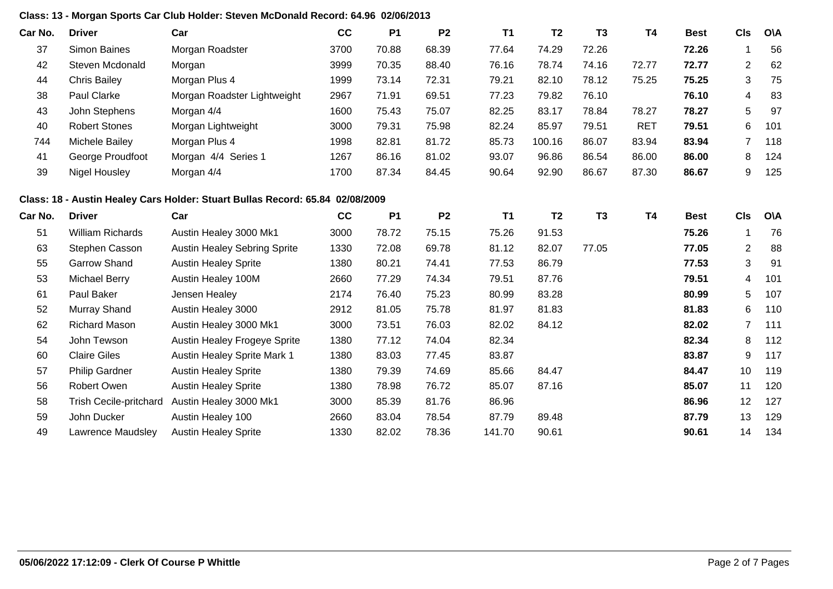### **Class: 13 - Morgan Sports Car Club Holder: Steven McDonald Record: 64.96 02/06/2013**

| Car No. | <b>Driver</b>           | Car                                                                           | cc   | <b>P1</b> | P <sub>2</sub> | <b>T1</b> | T <sub>2</sub> | T <sub>3</sub> | <b>T4</b>  | <b>Best</b> | <b>CIs</b>     | <b>O\A</b> |
|---------|-------------------------|-------------------------------------------------------------------------------|------|-----------|----------------|-----------|----------------|----------------|------------|-------------|----------------|------------|
| 37      | Simon Baines            | Morgan Roadster                                                               | 3700 | 70.88     | 68.39          | 77.64     | 74.29          | 72.26          |            | 72.26       | $\mathbf 1$    | 56         |
| 42      | Steven Mcdonald         | Morgan                                                                        | 3999 | 70.35     | 88.40          | 76.16     | 78.74          | 74.16          | 72.77      | 72.77       | $\overline{2}$ | 62         |
| 44      | <b>Chris Bailey</b>     | Morgan Plus 4                                                                 | 1999 | 73.14     | 72.31          | 79.21     | 82.10          | 78.12          | 75.25      | 75.25       | 3              | 75         |
| 38      | Paul Clarke             | Morgan Roadster Lightweight                                                   | 2967 | 71.91     | 69.51          | 77.23     | 79.82          | 76.10          |            | 76.10       | 4              | 83         |
| 43      | John Stephens           | Morgan 4/4                                                                    | 1600 | 75.43     | 75.07          | 82.25     | 83.17          | 78.84          | 78.27      | 78.27       | 5              | 97         |
| 40      | <b>Robert Stones</b>    | Morgan Lightweight                                                            | 3000 | 79.31     | 75.98          | 82.24     | 85.97          | 79.51          | <b>RET</b> | 79.51       | 6              | 101        |
| 744     | Michele Bailey          | Morgan Plus 4                                                                 | 1998 | 82.81     | 81.72          | 85.73     | 100.16         | 86.07          | 83.94      | 83.94       | 7              | 118        |
| 41      | George Proudfoot        | Morgan 4/4 Series 1                                                           | 1267 | 86.16     | 81.02          | 93.07     | 96.86          | 86.54          | 86.00      | 86.00       | 8              | 124        |
| 39      | <b>Nigel Housley</b>    | Morgan 4/4                                                                    | 1700 | 87.34     | 84.45          | 90.64     | 92.90          | 86.67          | 87.30      | 86.67       | 9              | 125        |
|         |                         | Class: 18 - Austin Healey Cars Holder: Stuart Bullas Record: 65.84 02/08/2009 |      |           |                |           |                |                |            |             |                |            |
| Car No. | <b>Driver</b>           | Car                                                                           | cc   | <b>P1</b> | P <sub>2</sub> | <b>T1</b> | T <sub>2</sub> | <b>T3</b>      | <b>T4</b>  | <b>Best</b> | <b>CIs</b>     | <b>O\A</b> |
| 51      | <b>William Richards</b> | Austin Healey 3000 Mk1                                                        | 3000 | 78.72     | 75.15          | 75.26     | 91.53          |                |            | 75.26       | 1              | 76         |
| 63      | Stephen Casson          | <b>Austin Healey Sebring Sprite</b>                                           | 1330 | 72.08     | 69.78          | 81.12     | 82.07          | 77.05          |            | 77.05       | $\overline{2}$ | 88         |
| 55      | <b>Garrow Shand</b>     | <b>Austin Healey Sprite</b>                                                   | 1380 | 80.21     | 74.41          | 77.53     | 86.79          |                |            | 77.53       | 3              | 91         |
| 53      | <b>Michael Berry</b>    | Austin Healey 100M                                                            | 2660 | 77.29     | 74.34          | 79.51     | 87.76          |                |            | 79.51       | 4              | 101        |
| 61      | Paul Baker              | Jensen Healey                                                                 | 2174 | 76.40     | 75.23          | 80.99     | 83.28          |                |            | 80.99       | 5              | 107        |
| 52      | Murray Shand            | Austin Healey 3000                                                            | 2912 | 81.05     | 75.78          | 81.97     | 81.83          |                |            | 81.83       | 6              | 110        |
| 62      | <b>Richard Mason</b>    | Austin Healey 3000 Mk1                                                        | 3000 | 73.51     | 76.03          | 82.02     | 84.12          |                |            | 82.02       | 7              | 111        |
| 54      | John Tewson             | Austin Healey Frogeye Sprite                                                  | 1380 | 77.12     | 74.04          | 82.34     |                |                |            | 82.34       | 8              | 112        |
| 60      | <b>Claire Giles</b>     | Austin Healey Sprite Mark 1                                                   | 1380 | 83.03     | 77.45          | 83.87     |                |                |            | 83.87       | 9              | 117        |
| 57      | <b>Philip Gardner</b>   | <b>Austin Healey Sprite</b>                                                   | 1380 | 79.39     | 74.69          | 85.66     | 84.47          |                |            | 84.47       | 10             | 119        |
| 56      | Robert Owen             | <b>Austin Healey Sprite</b>                                                   | 1380 | 78.98     | 76.72          | 85.07     | 87.16          |                |            | 85.07       | 11             | 120        |
| 58      | Trish Cecile-pritchard  | Austin Healey 3000 Mk1                                                        | 3000 | 85.39     | 81.76          | 86.96     |                |                |            | 86.96       | 12             | 127        |
| 59      | John Ducker             | Austin Healey 100                                                             | 2660 | 83.04     | 78.54          | 87.79     | 89.48          |                |            | 87.79       | 13             | 129        |
| 49      | Lawrence Maudsley       | <b>Austin Healey Sprite</b>                                                   | 1330 | 82.02     | 78.36          | 141.70    | 90.61          |                |            | 90.61       | 14             | 134        |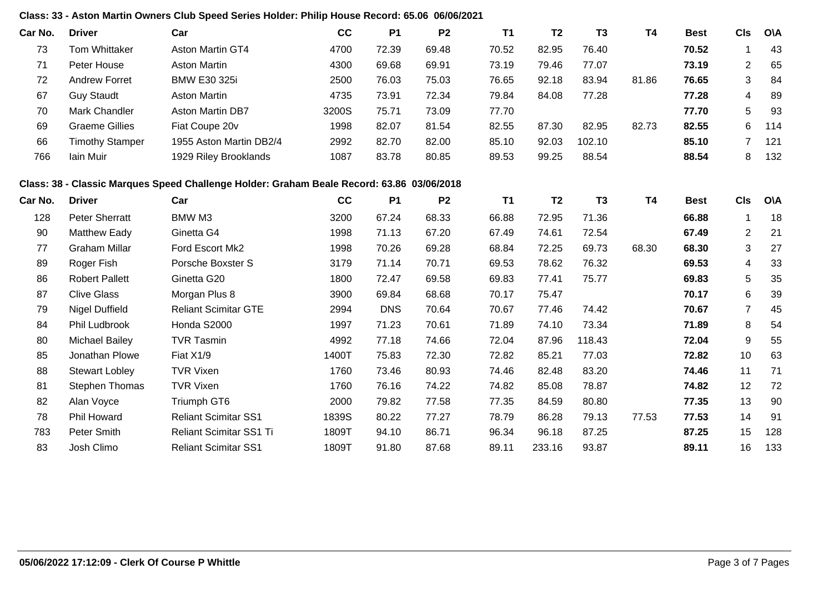### **Class: 33 - Aston Martin Owners Club Speed Series Holder: Philip House Record: 65.06 06/06/2021**

| Car No. | <b>Driver</b>          | Car                                                                                       | cc    | <b>P1</b>  | P <sub>2</sub> | <b>T1</b> | <b>T2</b>      | T <sub>3</sub> | <b>T4</b> | <b>Best</b> | <b>CIs</b>              | O\A        |
|---------|------------------------|-------------------------------------------------------------------------------------------|-------|------------|----------------|-----------|----------------|----------------|-----------|-------------|-------------------------|------------|
| 73      | <b>Tom Whittaker</b>   | Aston Martin GT4                                                                          | 4700  | 72.39      | 69.48          | 70.52     | 82.95          | 76.40          |           | 70.52       | $\mathbf 1$             | 43         |
| 71      | Peter House            | <b>Aston Martin</b>                                                                       | 4300  | 69.68      | 69.91          | 73.19     | 79.46          | 77.07          |           | 73.19       | $\overline{2}$          | 65         |
| 72      | <b>Andrew Forret</b>   | <b>BMW E30 325i</b>                                                                       | 2500  | 76.03      | 75.03          | 76.65     | 92.18          | 83.94          | 81.86     | 76.65       | 3                       | 84         |
| 67      | <b>Guy Staudt</b>      | <b>Aston Martin</b>                                                                       | 4735  | 73.91      | 72.34          | 79.84     | 84.08          | 77.28          |           | 77.28       | 4                       | 89         |
| 70      | Mark Chandler          | Aston Martin DB7                                                                          | 3200S | 75.71      | 73.09          | 77.70     |                |                |           | 77.70       | 5                       | 93         |
| 69      | <b>Graeme Gillies</b>  | Fiat Coupe 20v                                                                            | 1998  | 82.07      | 81.54          | 82.55     | 87.30          | 82.95          | 82.73     | 82.55       | 6                       | 114        |
| 66      | <b>Timothy Stamper</b> | 1955 Aston Martin DB2/4                                                                   | 2992  | 82.70      | 82.00          | 85.10     | 92.03          | 102.10         |           | 85.10       | $\overline{7}$          | 121        |
| 766     | Iain Muir              | 1929 Riley Brooklands                                                                     | 1087  | 83.78      | 80.85          | 89.53     | 99.25          | 88.54          |           | 88.54       | 8                       | 132        |
|         |                        | Class: 38 - Classic Marques Speed Challenge Holder: Graham Beale Record: 63.86 03/06/2018 |       |            |                |           |                |                |           |             |                         |            |
| Car No. | <b>Driver</b>          | Car                                                                                       | cc    | <b>P1</b>  | P <sub>2</sub> | <b>T1</b> | T <sub>2</sub> | T <sub>3</sub> | <b>T4</b> | <b>Best</b> | <b>CIs</b>              | <b>OVA</b> |
| 128     | <b>Peter Sherratt</b>  | BMW M3                                                                                    | 3200  | 67.24      | 68.33          | 66.88     | 72.95          | 71.36          |           | 66.88       | 1                       | 18         |
| 90      | <b>Matthew Eady</b>    | Ginetta G4                                                                                | 1998  | 71.13      | 67.20          | 67.49     | 74.61          | 72.54          |           | 67.49       | $\overline{2}$          | 21         |
| 77      | <b>Graham Millar</b>   | Ford Escort Mk2                                                                           | 1998  | 70.26      | 69.28          | 68.84     | 72.25          | 69.73          | 68.30     | 68.30       | 3                       | 27         |
| 89      | Roger Fish             | Porsche Boxster S                                                                         | 3179  | 71.14      | 70.71          | 69.53     | 78.62          | 76.32          |           | 69.53       | $\overline{\mathbf{4}}$ | 33         |
| 86      | <b>Robert Pallett</b>  | Ginetta G20                                                                               | 1800  | 72.47      | 69.58          | 69.83     | 77.41          | 75.77          |           | 69.83       | 5                       | 35         |
| 87      | <b>Clive Glass</b>     | Morgan Plus 8                                                                             | 3900  | 69.84      | 68.68          | 70.17     | 75.47          |                |           | 70.17       | 6                       | 39         |
| 79      | <b>Nigel Duffield</b>  | <b>Reliant Scimitar GTE</b>                                                               | 2994  | <b>DNS</b> | 70.64          | 70.67     | 77.46          | 74.42          |           | 70.67       | $\overline{7}$          | 45         |
| 84      | Phil Ludbrook          | Honda S2000                                                                               | 1997  | 71.23      | 70.61          | 71.89     | 74.10          | 73.34          |           | 71.89       | 8                       | 54         |
| 80      | <b>Michael Bailey</b>  | <b>TVR Tasmin</b>                                                                         | 4992  | 77.18      | 74.66          | 72.04     | 87.96          | 118.43         |           | 72.04       | 9                       | 55         |
| 85      | Jonathan Plowe         | Fiat X1/9                                                                                 | 1400T | 75.83      | 72.30          | 72.82     | 85.21          | 77.03          |           | 72.82       | 10                      | 63         |
| 88      | <b>Stewart Lobley</b>  | <b>TVR Vixen</b>                                                                          | 1760  | 73.46      | 80.93          | 74.46     | 82.48          | 83.20          |           | 74.46       | 11                      | 71         |
| 81      | Stephen Thomas         | <b>TVR Vixen</b>                                                                          | 1760  | 76.16      | 74.22          | 74.82     | 85.08          | 78.87          |           | 74.82       | 12                      | 72         |
| 82      | Alan Voyce             | Triumph GT6                                                                               | 2000  | 79.82      | 77.58          | 77.35     | 84.59          | 80.80          |           | 77.35       | 13                      | 90         |
| 78      | <b>Phil Howard</b>     | <b>Reliant Scimitar SS1</b>                                                               | 1839S | 80.22      | 77.27          | 78.79     | 86.28          | 79.13          | 77.53     | 77.53       | 14                      | 91         |
| 783     | Peter Smith            | Reliant Scimitar SS1 Ti                                                                   | 1809T | 94.10      | 86.71          | 96.34     | 96.18          | 87.25          |           | 87.25       | 15                      | 128        |
| 83      | Josh Climo             | <b>Reliant Scimitar SS1</b>                                                               | 1809T | 91.80      | 87.68          | 89.11     | 233.16         | 93.87          |           | 89.11       | 16                      | 133        |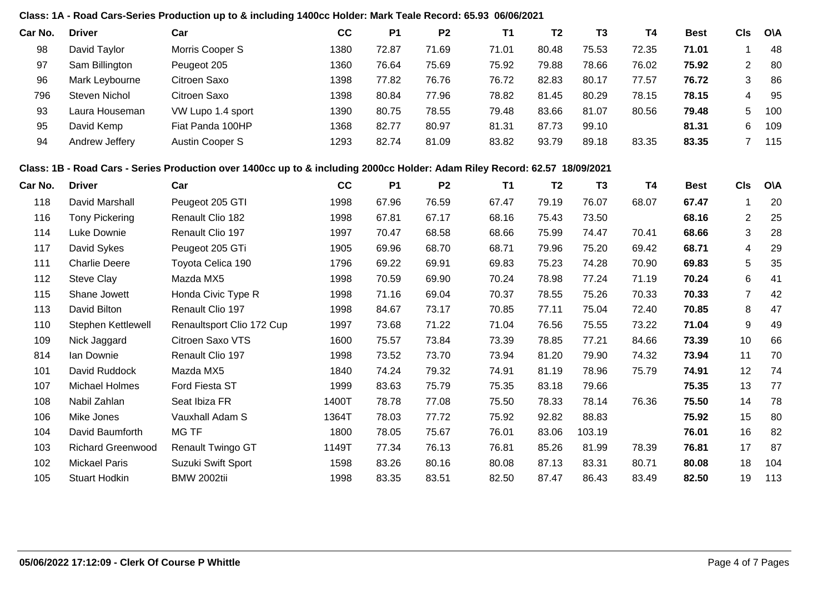#### **Class: 1A - Road Cars-Series Production up to & including 1400cc Holder: Mark Teale Record: 65.93 06/06/2021**

| Car No. | <b>Driver</b>  | Car               | cc   | P <sub>1</sub> | P <sub>2</sub> | Τ1    | T <sub>2</sub> | T <sub>3</sub> | T4    | <b>Best</b> | CIs | <b>OVA</b> |
|---------|----------------|-------------------|------|----------------|----------------|-------|----------------|----------------|-------|-------------|-----|------------|
| 98      | David Taylor   | Morris Cooper S   | 1380 | 72.87          | 71.69          | 71.01 | 80.48          | 75.53          | 72.35 | 71.01       |     | 48         |
| 97      | Sam Billington | Peugeot 205       | 1360 | 76.64          | 75.69          | 75.92 | 79.88          | 78.66          | 76.02 | 75.92       | ◠   | 80         |
| 96      | Mark Leybourne | Citroen Saxo      | 1398 | 77.82          | 76.76          | 76.72 | 82.83          | 80.17          | 77.57 | 76.72       | 3   | 86         |
| 796     | Steven Nichol  | Citroen Saxo      | 1398 | 80.84          | 77.96          | 78.82 | 81.45          | 80.29          | 78.15 | 78.15       |     | 95         |
| 93      | Laura Houseman | VW Lupo 1.4 sport | 1390 | 80.75          | 78.55          | 79.48 | 83.66          | 81.07          | 80.56 | 79.48       | 5   | 100        |
| 95      | David Kemp     | Fiat Panda 100HP  | 1368 | 82.77          | 80.97          | 81.31 | 87.73          | 99.10          |       | 81.31       | 6   | 109        |
| 94      | Andrew Jeffery | Austin Cooper S   | 1293 | 82.74          | 81.09          | 83.82 | 93.79          | 89.18          | 83.35 | 83.35       |     | 115        |

#### **Class: 1B - Road Cars - Series Production over 1400cc up to & including 2000cc Holder: Adam Riley Record: 62.57 18/09/2021**

| Car No. | <b>Driver</b>            | Car                       | cc    | <b>P1</b> | P <sub>2</sub> | <b>T1</b> | T <sub>2</sub> | T <sub>3</sub> | T4    | <b>Best</b> | <b>CIs</b>     | O\A |
|---------|--------------------------|---------------------------|-------|-----------|----------------|-----------|----------------|----------------|-------|-------------|----------------|-----|
| 118     | David Marshall           | Peugeot 205 GTI           | 1998  | 67.96     | 76.59          | 67.47     | 79.19          | 76.07          | 68.07 | 67.47       |                | 20  |
| 116     | <b>Tony Pickering</b>    | Renault Clio 182          | 1998  | 67.81     | 67.17          | 68.16     | 75.43          | 73.50          |       | 68.16       | $\overline{2}$ | 25  |
| 114     | Luke Downie              | Renault Clio 197          | 1997  | 70.47     | 68.58          | 68.66     | 75.99          | 74.47          | 70.41 | 68.66       | 3              | 28  |
| 117     | David Sykes              | Peugeot 205 GTi           | 1905  | 69.96     | 68.70          | 68.71     | 79.96          | 75.20          | 69.42 | 68.71       | 4              | 29  |
| 111     | <b>Charlie Deere</b>     | Toyota Celica 190         | 1796  | 69.22     | 69.91          | 69.83     | 75.23          | 74.28          | 70.90 | 69.83       | 5              | 35  |
| 112     | Steve Clay               | Mazda MX5                 | 1998  | 70.59     | 69.90          | 70.24     | 78.98          | 77.24          | 71.19 | 70.24       | 6              | 41  |
| 115     | Shane Jowett             | Honda Civic Type R        | 1998  | 71.16     | 69.04          | 70.37     | 78.55          | 75.26          | 70.33 | 70.33       | 7              | 42  |
| 113     | David Bilton             | Renault Clio 197          | 1998  | 84.67     | 73.17          | 70.85     | 77.11          | 75.04          | 72.40 | 70.85       | 8              | 47  |
| 110     | Stephen Kettlewell       | Renaultsport Clio 172 Cup | 1997  | 73.68     | 71.22          | 71.04     | 76.56          | 75.55          | 73.22 | 71.04       | 9              | 49  |
| 109     | Nick Jaggard             | Citroen Saxo VTS          | 1600  | 75.57     | 73.84          | 73.39     | 78.85          | 77.21          | 84.66 | 73.39       | 10             | 66  |
| 814     | Ian Downie               | Renault Clio 197          | 1998  | 73.52     | 73.70          | 73.94     | 81.20          | 79.90          | 74.32 | 73.94       | 11             | 70  |
| 101     | David Ruddock            | Mazda MX5                 | 1840  | 74.24     | 79.32          | 74.91     | 81.19          | 78.96          | 75.79 | 74.91       | 12             | 74  |
| 107     | Michael Holmes           | Ford Fiesta ST            | 1999  | 83.63     | 75.79          | 75.35     | 83.18          | 79.66          |       | 75.35       | 13             | 77  |
| 108     | Nabil Zahlan             | Seat Ibiza FR             | 1400T | 78.78     | 77.08          | 75.50     | 78.33          | 78.14          | 76.36 | 75.50       | 14             | 78  |
| 106     | Mike Jones               | Vauxhall Adam S           | 1364T | 78.03     | 77.72          | 75.92     | 92.82          | 88.83          |       | 75.92       | 15             | 80  |
| 104     | David Baumforth          | MG TF                     | 1800  | 78.05     | 75.67          | 76.01     | 83.06          | 103.19         |       | 76.01       | 16             | 82  |
| 103     | <b>Richard Greenwood</b> | <b>Renault Twingo GT</b>  | 1149T | 77.34     | 76.13          | 76.81     | 85.26          | 81.99          | 78.39 | 76.81       | 17             | 87  |
| 102     | Mickael Paris            | Suzuki Swift Sport        | 1598  | 83.26     | 80.16          | 80.08     | 87.13          | 83.31          | 80.71 | 80.08       | 18             | 104 |
| 105     | <b>Stuart Hodkin</b>     | <b>BMW 2002tii</b>        | 1998  | 83.35     | 83.51          | 82.50     | 87.47          | 86.43          | 83.49 | 82.50       | 19             | 113 |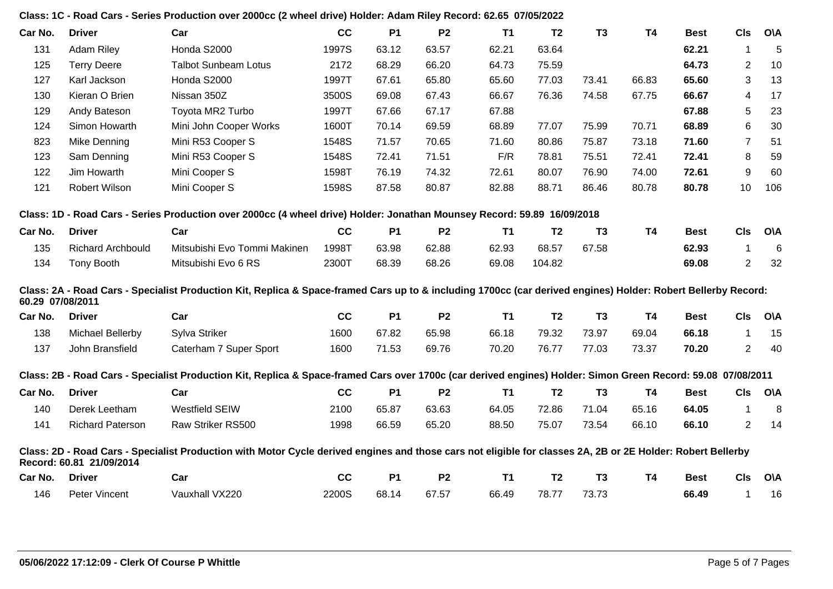|                  |                          | Class: 1C - Road Cars - Series Production over 2000cc (2 wheel drive) Holder: Adam Riley Record: 62.65 07/05/2022                                             |       |           |                |           |                |                |           |             |                |            |
|------------------|--------------------------|---------------------------------------------------------------------------------------------------------------------------------------------------------------|-------|-----------|----------------|-----------|----------------|----------------|-----------|-------------|----------------|------------|
| Car No.          | <b>Driver</b>            | Car                                                                                                                                                           | cc    | <b>P1</b> | P <sub>2</sub> | <b>T1</b> | T <sub>2</sub> | T <sub>3</sub> | <b>T4</b> | <b>Best</b> | <b>CIs</b>     | <b>O\A</b> |
| 131              | <b>Adam Riley</b>        | Honda S2000                                                                                                                                                   | 1997S | 63.12     | 63.57          | 62.21     | 63.64          |                |           | 62.21       | 1              | 5          |
| 125              | <b>Terry Deere</b>       | <b>Talbot Sunbeam Lotus</b>                                                                                                                                   | 2172  | 68.29     | 66.20          | 64.73     | 75.59          |                |           | 64.73       | $\overline{2}$ | 10         |
| 127              | Karl Jackson             | Honda S2000                                                                                                                                                   | 1997T | 67.61     | 65.80          | 65.60     | 77.03          | 73.41          | 66.83     | 65.60       | 3              | 13         |
| 130              | Kieran O Brien           | Nissan 350Z                                                                                                                                                   | 3500S | 69.08     | 67.43          | 66.67     | 76.36          | 74.58          | 67.75     | 66.67       | $\overline{4}$ | 17         |
| 129              | Andy Bateson             | Toyota MR2 Turbo                                                                                                                                              | 1997T | 67.66     | 67.17          | 67.88     |                |                |           | 67.88       | 5              | 23         |
| 124              | Simon Howarth            | Mini John Cooper Works                                                                                                                                        | 1600T | 70.14     | 69.59          | 68.89     | 77.07          | 75.99          | 70.71     | 68.89       | 6              | 30         |
| 823              | Mike Denning             | Mini R53 Cooper S                                                                                                                                             | 1548S | 71.57     | 70.65          | 71.60     | 80.86          | 75.87          | 73.18     | 71.60       | $\overline{7}$ | 51         |
| 123              | Sam Denning              | Mini R53 Cooper S                                                                                                                                             | 1548S | 72.41     | 71.51          | F/R       | 78.81          | 75.51          | 72.41     | 72.41       | 8              | 59         |
| 122              | Jim Howarth              | Mini Cooper S                                                                                                                                                 | 1598T | 76.19     | 74.32          | 72.61     | 80.07          | 76.90          | 74.00     | 72.61       | 9              | 60         |
| 121              | Robert Wilson            | Mini Cooper S                                                                                                                                                 | 1598S | 87.58     | 80.87          | 82.88     | 88.71          | 86.46          | 80.78     | 80.78       | 10             | 106        |
|                  |                          | Class: 1D - Road Cars - Series Production over 2000cc (4 wheel drive) Holder: Jonathan Mounsey Record: 59.89 16/09/2018                                       |       |           |                |           |                |                |           |             |                |            |
| Car No.          | <b>Driver</b>            | Car                                                                                                                                                           | cc    | <b>P1</b> | <b>P2</b>      | <b>T1</b> | T <sub>2</sub> | T <sub>3</sub> | <b>T4</b> | <b>Best</b> | <b>CIs</b>     | <b>O\A</b> |
| 135              | <b>Richard Archbould</b> | Mitsubishi Evo Tommi Makinen                                                                                                                                  | 1998T | 63.98     | 62.88          | 62.93     | 68.57          | 67.58          |           | 62.93       | $\mathbf 1$    | 6          |
| 134              | Tony Booth               | Mitsubishi Evo 6 RS                                                                                                                                           | 2300T | 68.39     | 68.26          | 69.08     | 104.82         |                |           | 69.08       | $\overline{2}$ | 32         |
| 60.29 07/08/2011 |                          | Class: 2A - Road Cars - Specialist Production Kit, Replica & Space-framed Cars up to & including 1700cc (car derived engines) Holder: Robert Bellerby Record: |       |           |                |           |                |                |           |             |                |            |
| Car No.          | <b>Driver</b>            | Car                                                                                                                                                           | cc    | <b>P1</b> | <b>P2</b>      | <b>T1</b> | T <sub>2</sub> | T <sub>3</sub> | <b>T4</b> | <b>Best</b> | <b>CIs</b>     | <b>O\A</b> |
| 138              | Michael Bellerby         | Sylva Striker                                                                                                                                                 | 1600  | 67.82     | 65.98          | 66.18     | 79.32          | 73.97          | 69.04     | 66.18       | $\mathbf{1}$   | 15         |
| 137              | John Bransfield          | Caterham 7 Super Sport                                                                                                                                        | 1600  | 71.53     | 69.76          | 70.20     | 76.77          | 77.03          | 73.37     | 70.20       | $\overline{2}$ | 40         |
|                  |                          | Class: 2B - Road Cars - Specialist Production Kit, Replica & Space-framed Cars over 1700c (car derived engines) Holder: Simon Green Record: 59.08 07/08/2011  |       |           |                |           |                |                |           |             |                |            |
| Car No.          | <b>Driver</b>            | Car                                                                                                                                                           | cc    | <b>P1</b> | <b>P2</b>      | <b>T1</b> | T <sub>2</sub> | T <sub>3</sub> | <b>T4</b> | <b>Best</b> | <b>CIs</b>     | <b>O\A</b> |
| 140              | Derek Leetham            | <b>Westfield SEIW</b>                                                                                                                                         | 2100  | 65.87     | 63.63          | 64.05     | 72.86          | 71.04          | 65.16     | 64.05       | $\mathbf{1}$   | 8          |
| 141              | <b>Richard Paterson</b>  | Raw Striker RS500                                                                                                                                             | 1998  | 66.59     | 65.20          | 88.50     | 75.07          | 73.54          | 66.10     | 66.10       | $\overline{2}$ | 14         |
|                  | Record: 60.81 21/09/2014 | Class: 2D - Road Cars - Specialist Production with Motor Cycle derived engines and those cars not eligible for classes 2A, 2B or 2E Holder: Robert Bellerby   |       |           |                |           |                |                |           |             |                |            |
| Car No.          | <b>Driver</b>            | Car                                                                                                                                                           | cc    | <b>P1</b> | <b>P2</b>      | <b>T1</b> | T <sub>2</sub> | T <sub>3</sub> | <b>T4</b> | <b>Best</b> | <b>CIs</b>     | <b>O\A</b> |
| 146              | Peter Vincent            | Vauxhall VX220                                                                                                                                                | 2200S | 68.14     | 67.57          | 66.49     | 78.77          | 73.73          |           | 66.49       | $\mathbf{1}$   | 16         |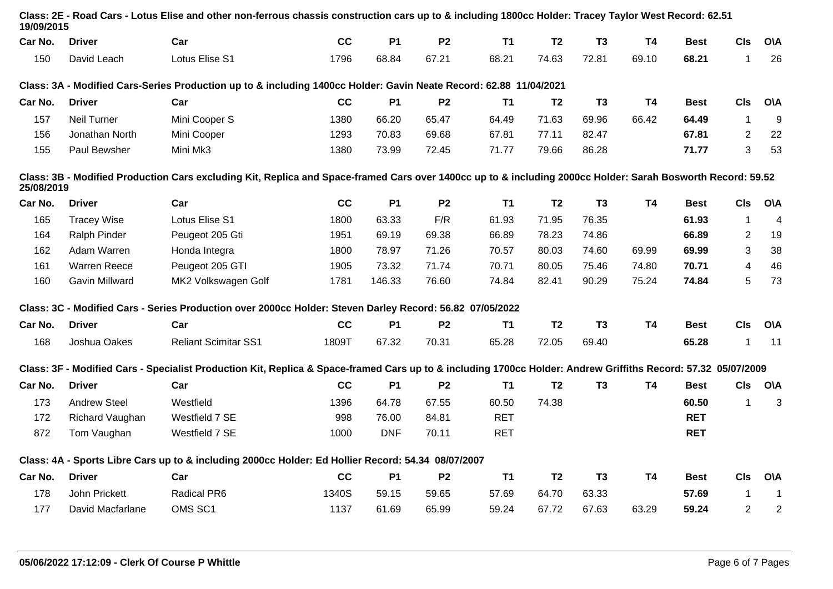| 19/09/2015          |                             |       |            |                |            |                                                                                                                                                                                                                |                                                                                                                   |           |             |                |                                                                                                                                                                                                                                                                                                                                                                                                                                                                                       |
|---------------------|-----------------------------|-------|------------|----------------|------------|----------------------------------------------------------------------------------------------------------------------------------------------------------------------------------------------------------------|-------------------------------------------------------------------------------------------------------------------|-----------|-------------|----------------|---------------------------------------------------------------------------------------------------------------------------------------------------------------------------------------------------------------------------------------------------------------------------------------------------------------------------------------------------------------------------------------------------------------------------------------------------------------------------------------|
| <b>Driver</b>       | Car                         | cc    | <b>P1</b>  | <b>P2</b>      | <b>T1</b>  | T <sub>2</sub>                                                                                                                                                                                                 | T <sub>3</sub>                                                                                                    | <b>T4</b> | <b>Best</b> | <b>CIs</b>     | <b>OVA</b>                                                                                                                                                                                                                                                                                                                                                                                                                                                                            |
| David Leach         | Lotus Elise S1              | 1796  | 68.84      | 67.21          | 68.21      | 74.63                                                                                                                                                                                                          | 72.81                                                                                                             | 69.10     | 68.21       | $\mathbf 1$    | 26                                                                                                                                                                                                                                                                                                                                                                                                                                                                                    |
|                     |                             |       |            |                |            |                                                                                                                                                                                                                |                                                                                                                   |           |             |                |                                                                                                                                                                                                                                                                                                                                                                                                                                                                                       |
| <b>Driver</b>       | Car                         | cc    | <b>P1</b>  | <b>P2</b>      | <b>T1</b>  | T <sub>2</sub>                                                                                                                                                                                                 | T <sub>3</sub>                                                                                                    | <b>T4</b> | <b>Best</b> | <b>CIs</b>     | <b>O\A</b>                                                                                                                                                                                                                                                                                                                                                                                                                                                                            |
| <b>Neil Turner</b>  | Mini Cooper S               | 1380  | 66.20      | 65.47          | 64.49      | 71.63                                                                                                                                                                                                          | 69.96                                                                                                             | 66.42     | 64.49       | $\mathbf{1}$   | 9                                                                                                                                                                                                                                                                                                                                                                                                                                                                                     |
| Jonathan North      | Mini Cooper                 | 1293  | 70.83      | 69.68          | 67.81      | 77.11                                                                                                                                                                                                          | 82.47                                                                                                             |           | 67.81       | $\overline{2}$ | 22                                                                                                                                                                                                                                                                                                                                                                                                                                                                                    |
| Paul Bewsher        | Mini Mk3                    | 1380  | 73.99      | 72.45          | 71.77      | 79.66                                                                                                                                                                                                          | 86.28                                                                                                             |           | 71.77       | 3              | 53                                                                                                                                                                                                                                                                                                                                                                                                                                                                                    |
| 25/08/2019          |                             |       |            |                |            |                                                                                                                                                                                                                |                                                                                                                   |           |             |                |                                                                                                                                                                                                                                                                                                                                                                                                                                                                                       |
| <b>Driver</b>       | Car                         | cc    | <b>P1</b>  | P <sub>2</sub> | <b>T1</b>  | T <sub>2</sub>                                                                                                                                                                                                 | <b>T3</b>                                                                                                         | <b>T4</b> | <b>Best</b> | <b>CIs</b>     | <b>O\A</b>                                                                                                                                                                                                                                                                                                                                                                                                                                                                            |
| <b>Tracey Wise</b>  | Lotus Elise S1              | 1800  | 63.33      | F/R            | 61.93      | 71.95                                                                                                                                                                                                          | 76.35                                                                                                             |           | 61.93       | $\mathbf{1}$   | $\overline{4}$                                                                                                                                                                                                                                                                                                                                                                                                                                                                        |
| Ralph Pinder        | Peugeot 205 Gti             | 1951  | 69.19      | 69.38          | 66.89      | 78.23                                                                                                                                                                                                          | 74.86                                                                                                             |           | 66.89       | $\overline{2}$ | 19                                                                                                                                                                                                                                                                                                                                                                                                                                                                                    |
| Adam Warren         | Honda Integra               | 1800  | 78.97      | 71.26          | 70.57      | 80.03                                                                                                                                                                                                          | 74.60                                                                                                             | 69.99     | 69.99       | 3              | 38                                                                                                                                                                                                                                                                                                                                                                                                                                                                                    |
| <b>Warren Reece</b> | Peugeot 205 GTI             | 1905  | 73.32      | 71.74          | 70.71      | 80.05                                                                                                                                                                                                          | 75.46                                                                                                             | 74.80     | 70.71       | 4              | 46                                                                                                                                                                                                                                                                                                                                                                                                                                                                                    |
| Gavin Millward      | MK2 Volkswagen Golf         | 1781  | 146.33     | 76.60          | 74.84      | 82.41                                                                                                                                                                                                          | 90.29                                                                                                             | 75.24     | 74.84       | 5              | 73                                                                                                                                                                                                                                                                                                                                                                                                                                                                                    |
|                     |                             |       |            |                |            |                                                                                                                                                                                                                |                                                                                                                   |           |             |                |                                                                                                                                                                                                                                                                                                                                                                                                                                                                                       |
| <b>Driver</b>       | Car                         | cc    | <b>P1</b>  | <b>P2</b>      | <b>T1</b>  | T <sub>2</sub>                                                                                                                                                                                                 | T <sub>3</sub>                                                                                                    | <b>T4</b> | <b>Best</b> | <b>CIs</b>     | O\A                                                                                                                                                                                                                                                                                                                                                                                                                                                                                   |
| Joshua Oakes        | <b>Reliant Scimitar SS1</b> | 1809T | 67.32      | 70.31          | 65.28      | 72.05                                                                                                                                                                                                          | 69.40                                                                                                             |           | 65.28       | $\mathbf 1$    | 11                                                                                                                                                                                                                                                                                                                                                                                                                                                                                    |
|                     |                             |       |            |                |            |                                                                                                                                                                                                                |                                                                                                                   |           |             |                |                                                                                                                                                                                                                                                                                                                                                                                                                                                                                       |
| <b>Driver</b>       | Car                         | cc    | <b>P1</b>  | <b>P2</b>      | <b>T1</b>  | T <sub>2</sub>                                                                                                                                                                                                 | T <sub>3</sub>                                                                                                    | <b>T4</b> | <b>Best</b> | <b>CIs</b>     | <b>O\A</b>                                                                                                                                                                                                                                                                                                                                                                                                                                                                            |
| <b>Andrew Steel</b> | Westfield                   | 1396  | 64.78      | 67.55          | 60.50      | 74.38                                                                                                                                                                                                          |                                                                                                                   |           | 60.50       | $\mathbf{1}$   | 3                                                                                                                                                                                                                                                                                                                                                                                                                                                                                     |
| Richard Vaughan     | Westfield 7 SE              | 998   | 76.00      | 84.81          | <b>RET</b> |                                                                                                                                                                                                                |                                                                                                                   |           | <b>RET</b>  |                |                                                                                                                                                                                                                                                                                                                                                                                                                                                                                       |
| Tom Vaughan         | Westfield 7 SE              | 1000  | <b>DNF</b> | 70.11          | <b>RET</b> |                                                                                                                                                                                                                |                                                                                                                   |           | <b>RET</b>  |                |                                                                                                                                                                                                                                                                                                                                                                                                                                                                                       |
|                     |                             |       |            |                |            |                                                                                                                                                                                                                |                                                                                                                   |           |             |                |                                                                                                                                                                                                                                                                                                                                                                                                                                                                                       |
| <b>Driver</b>       | Car                         | cc    | <b>P1</b>  | P <sub>2</sub> | <b>T1</b>  | T <sub>2</sub>                                                                                                                                                                                                 | T <sub>3</sub>                                                                                                    | <b>T4</b> | <b>Best</b> | <b>CIs</b>     | <b>OVA</b>                                                                                                                                                                                                                                                                                                                                                                                                                                                                            |
| John Prickett       | Radical PR6                 | 1340S | 59.15      | 59.65          | 57.69      | 64.70                                                                                                                                                                                                          | 63.33                                                                                                             |           | 57.69       | 1              | $\mathbf 1$                                                                                                                                                                                                                                                                                                                                                                                                                                                                           |
| David Macfarlane    | OMS SC1                     | 1137  | 61.69      | 65.99          | 59.24      | 67.72                                                                                                                                                                                                          | 67.63                                                                                                             | 63.29     | 59.24       | $\overline{2}$ | $\overline{c}$                                                                                                                                                                                                                                                                                                                                                                                                                                                                        |
|                     |                             |       |            |                |            | Class: 3C - Modified Cars - Series Production over 2000cc Holder: Steven Darley Record: 56.82 07/05/2022<br>Class: 4A - Sports Libre Cars up to & including 2000cc Holder: Ed Hollier Record: 54.34 08/07/2007 | Class: 3A - Modified Cars-Series Production up to & including 1400cc Holder: Gavin Neate Record: 62.88 11/04/2021 |           |             |                | Class: 2E - Road Cars - Lotus Elise and other non-ferrous chassis construction cars up to & including 1800cc Holder: Tracey Taylor West Record: 62.51<br>Class: 3B - Modified Production Cars excluding Kit, Replica and Space-framed Cars over 1400cc up to & including 2000cc Holder: Sarah Bosworth Record: 59.52<br>Class: 3F - Modified Cars - Specialist Production Kit, Replica & Space-framed Cars up to & including 1700cc Holder: Andrew Griffiths Record: 57.32 05/07/2009 |